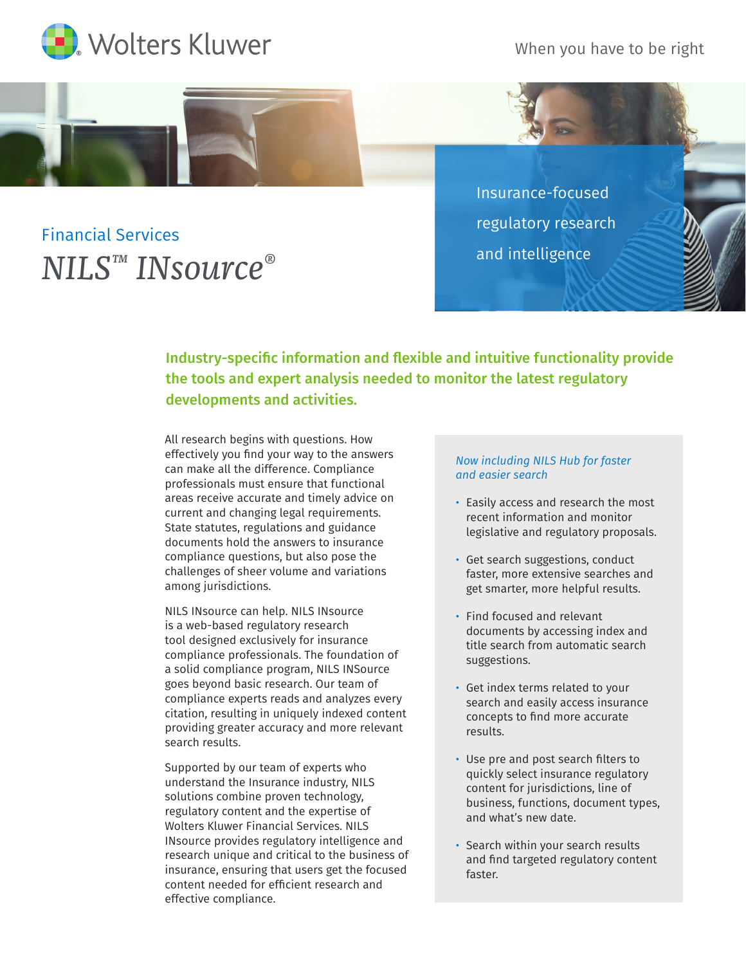When you have to be right





Insurance-focused regulatory research and intelligence

Industry-specific information and flexible and intuitive functionality provide the tools and expert analysis needed to monitor the latest regulatory developments and activities.

All research begins with questions. How effectively you find your way to the answers can make all the difference. Compliance professionals must ensure that functional areas receive accurate and timely advice on current and changing legal requirements. State statutes, regulations and guidance documents hold the answers to insurance compliance questions, but also pose the challenges of sheer volume and variations among jurisdictions.

NILS INsource can help. NILS INsource is a web-based regulatory research tool designed exclusively for insurance compliance professionals. The foundation of a solid compliance program, NILS INSource goes beyond basic research. Our team of compliance experts reads and analyzes every citation, resulting in uniquely indexed content providing greater accuracy and more relevant search results.

Supported by our team of experts who understand the Insurance industry, NILS solutions combine proven technology, regulatory content and the expertise of Wolters Kluwer Financial Services. NILS INsource provides regulatory intelligence and research unique and critical to the business of insurance, ensuring that users get the focused content needed for efficient research and effective compliance.

## *Now including NILS Hub for faster and easier search*

- Easily access and research the most recent information and monitor legislative and regulatory proposals.
- Get search suggestions, conduct faster, more extensive searches and get smarter, more helpful results.
- Find focused and relevant documents by accessing index and title search from automatic search suggestions.
- Get index terms related to your search and easily access insurance concepts to find more accurate results.
- Use pre and post search filters to quickly select insurance regulatory content for jurisdictions, line of business, functions, document types, and what's new date.
- Search within your search results and find targeted regulatory content faster.